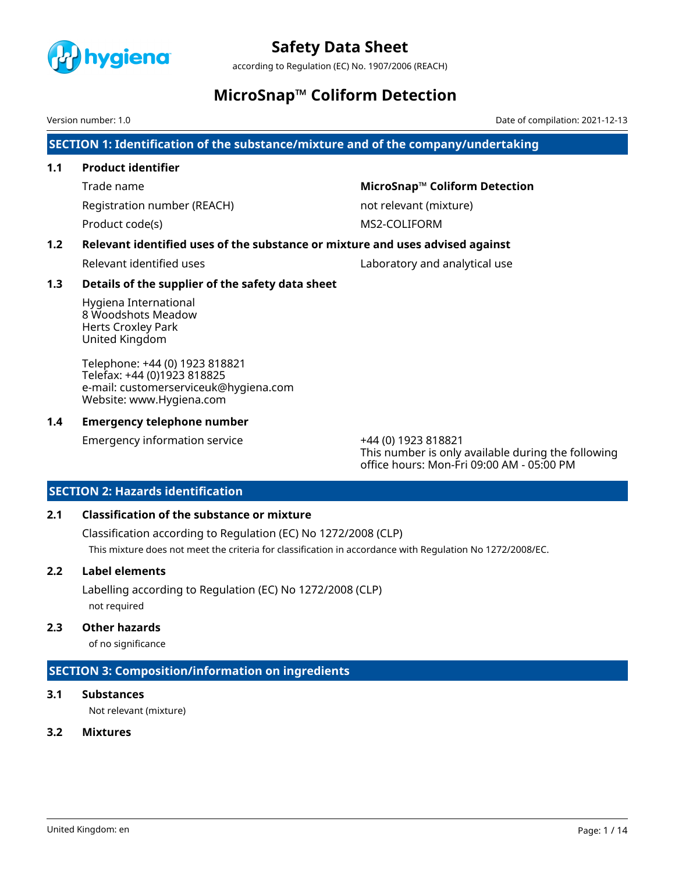

according to Regulation (EC) No. 1907/2006 (REACH)

### **MicroSnap™ Coliform Detection**

Version number: 1.0 Date of compilation: 2021-12-13

**SECTION 1: Identification of the substance/mixture and of the company/undertaking**

#### **1.1 Product identifier**

Registration number (REACH) not relevant (mixture)

Trade name **MicroSnap™ Coliform Detection** 

Product code(s) and the matrix of the MS2-COLIFORM

### **1.2 Relevant identified uses of the substance or mixture and uses advised against**

Relevant identified uses Laboratory and analytical use

#### **1.3 Details of the supplier of the safety data sheet**

Hygiena International 8 Woodshots Meadow Herts Croxley Park United Kingdom

Telephone: +44 (0) 1923 818821 Telefax: +44 (0)1923 818825 e-mail: customerserviceuk@hygiena.com Website: www.Hygiena.com

#### **1.4 Emergency telephone number**

Emergency information service +44 (0) 1923 818821

This number is only available during the following office hours: Mon-Fri 09:00 AM - 05:00 PM

### **SECTION 2: Hazards identification**

### **2.1 Classification of the substance or mixture**

Classification according to Regulation (EC) No 1272/2008 (CLP) This mixture does not meet the criteria for classification in accordance with Regulation No 1272/2008/EC.

### **2.2 Label elements**

Labelling according to Regulation (EC) No 1272/2008 (CLP) not required

#### **2.3 Other hazards**

of no significance

### **SECTION 3: Composition/information on ingredients**

### **3.1 Substances**

Not relevant (mixture)

### **3.2 Mixtures**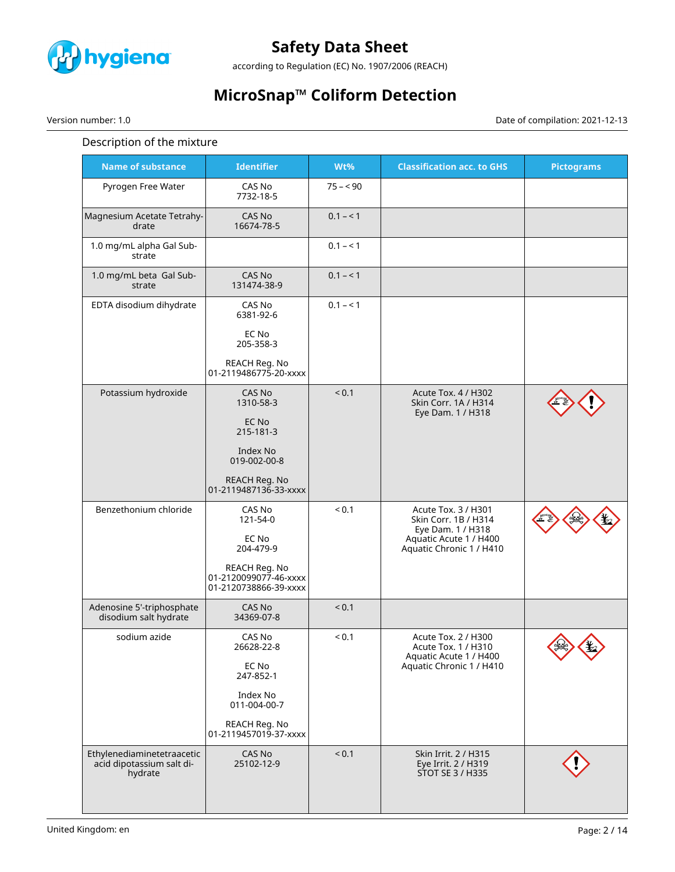

according to Regulation (EC) No. 1907/2006 (REACH)

# **MicroSnap™ Coliform Detection**

Version number: 1.0 Date of compilation: 2021-12-13

#### Description of the mixture

| <b>Name of substance</b>                                           | <b>Identifier</b>                                               | Wt%        | <b>Classification acc. to GHS</b>                                      | <b>Pictograms</b> |
|--------------------------------------------------------------------|-----------------------------------------------------------------|------------|------------------------------------------------------------------------|-------------------|
| Pyrogen Free Water                                                 | CAS No<br>7732-18-5                                             | $75 - 90$  |                                                                        |                   |
| Magnesium Acetate Tetrahy-<br>drate                                | <b>CAS No</b><br>16674-78-5                                     | $0.1 - 1$  |                                                                        |                   |
| 1.0 mg/mL alpha Gal Sub-<br>strate                                 |                                                                 | $0.1 - 1$  |                                                                        |                   |
| 1.0 mg/mL beta Gal Sub-<br>strate                                  | <b>CAS No</b><br>131474-38-9                                    | $0.1 - 1$  |                                                                        |                   |
| EDTA disodium dihydrate                                            | CAS No<br>6381-92-6                                             | $0.1 - 1$  |                                                                        |                   |
|                                                                    | EC No<br>205-358-3                                              |            |                                                                        |                   |
|                                                                    | REACH Reg. No<br>01-2119486775-20-xxxx                          |            |                                                                        |                   |
| Potassium hydroxide                                                | <b>CAS No</b><br>1310-58-3                                      | ${}_{0.1}$ | Acute Tox. 4 / H302<br>Skin Corr. 1A / H314<br>Eye Dam. 1 / H318       |                   |
|                                                                    | EC No<br>215-181-3                                              |            |                                                                        |                   |
|                                                                    | Index No<br>019-002-00-8                                        |            |                                                                        |                   |
|                                                                    | REACH Reg. No<br>01-2119487136-33-xxxx                          |            |                                                                        |                   |
| Benzethonium chloride                                              | CAS No<br>121-54-0                                              | ${}_{0.1}$ | Acute Tox. 3 / H301<br>Skin Corr. 1B / H314<br>Eye Dam. 1 / H318       |                   |
|                                                                    | EC No<br>204-479-9                                              |            | Aquatic Acute 1 / H400<br>Aquatic Chronic 1 / H410                     |                   |
|                                                                    | REACH Reg. No<br>01-2120099077-46-xxxx<br>01-2120738866-39-xxxx |            |                                                                        |                   |
| Adenosine 5'-triphosphate<br>disodium salt hydrate                 | CAS No<br>34369-07-8                                            | < 0.1      |                                                                        |                   |
| sodium azide                                                       | CAS No<br>26628-22-8                                            | < 0.1      | Acute Tox. 2 / H300<br>Acute Tox. 1 / H310<br>Aquatic Acute 1 / H400   | Zv.               |
|                                                                    | EC No<br>247-852-1                                              |            | Aquatic Chronic 1 / H410                                               |                   |
|                                                                    | Index No<br>011-004-00-7                                        |            |                                                                        |                   |
|                                                                    | REACH Reg. No<br>01-2119457019-37-xxxx                          |            |                                                                        |                   |
| Ethylenediaminetetraacetic<br>acid dipotassium salt di-<br>hydrate | CAS No<br>25102-12-9                                            | < 0.1      | Skin Irrit. 2 / H315<br>Eye Irrit. 2 / H319<br><b>STOT SE 3 / H335</b> |                   |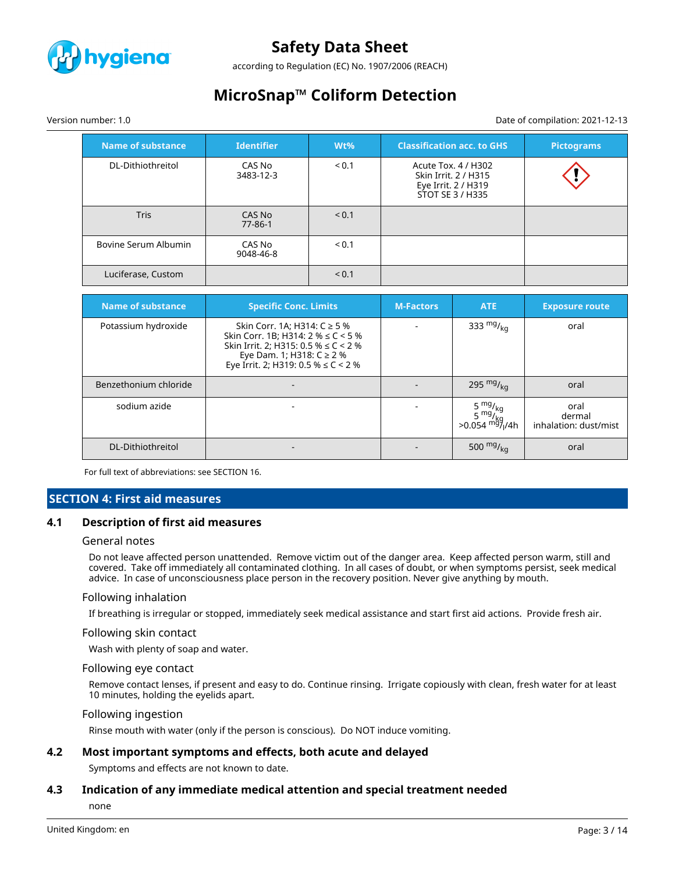

according to Regulation (EC) No. 1907/2006 (REACH)

# **MicroSnap™ Coliform Detection**

#### Version number: 1.0 Date of compilation: 2021-12-13

#### **Name of substance Identifier Wt% Classification acc. to GHS Pictograms** DL-Dithiothreitol CAS No 3483-12-3 < 0.1 Acute Tox. 4 / H302 Skin Irrit. 2 / H315 Eye Irrit. 2 / H319 STOT SE 3 / H335 Tris CAS No 77-86-1  $< 0.1$ Bovine Serum Albumin CAS No 9048-46-8  $< 0.1$ Luciferase, Custom  $\vert$  < 0.1

| <b>Name of substance</b> | <b>Specific Conc. Limits</b>                                                                                                                                                                 | <b>M-Factors</b> | ATE                           | <b>Exposure route</b>                   |
|--------------------------|----------------------------------------------------------------------------------------------------------------------------------------------------------------------------------------------|------------------|-------------------------------|-----------------------------------------|
| Potassium hydroxide      | Skin Corr. 1A; H314: C ≥ 5 %<br>Skin Corr. 1B; H314: $2\% \le C < 5\%$<br>Skin Irrit. 2; H315: 0.5 % $\leq C$ < 2 %<br>Eye Dam. 1; H318: C ≥ 2 %<br>Eye Irrit. 2; H319: 0.5 % $\leq$ C < 2 % |                  | 333 $mg/_{ka}$                | oral                                    |
| Benzethonium chloride    |                                                                                                                                                                                              |                  | 295 $mg/_{kq}$                | oral                                    |
| sodium azide             |                                                                                                                                                                                              |                  | $>0.054$ mg/ <sub>l</sub> /4h | oral<br>dermal<br>inhalation: dust/mist |
| DL-Dithiothreitol        |                                                                                                                                                                                              |                  | 500 $mg/kq$                   | oral                                    |

For full text of abbreviations: see SECTION 16.

#### **SECTION 4: First aid measures**

#### **4.1 Description of first aid measures**

#### General notes

Do not leave affected person unattended. Remove victim out of the danger area. Keep affected person warm, still and covered. Take off immediately all contaminated clothing. In all cases of doubt, or when symptoms persist, seek medical advice. In case of unconsciousness place person in the recovery position. Never give anything by mouth.

#### Following inhalation

If breathing is irregular or stopped, immediately seek medical assistance and start first aid actions. Provide fresh air.

#### Following skin contact

Wash with plenty of soap and water.

#### Following eye contact

Remove contact lenses, if present and easy to do. Continue rinsing. Irrigate copiously with clean, fresh water for at least 10 minutes, holding the eyelids apart.

#### Following ingestion

Rinse mouth with water (only if the person is conscious). Do NOT induce vomiting.

#### **4.2 Most important symptoms and effects, both acute and delayed**

Symptoms and effects are not known to date.

#### **4.3 Indication of any immediate medical attention and special treatment needed**

none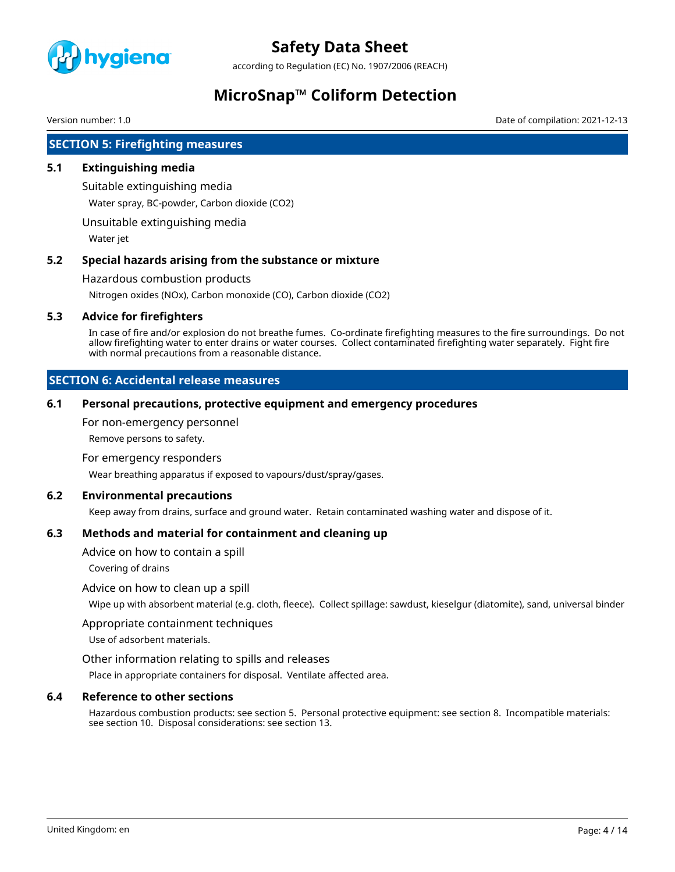

according to Regulation (EC) No. 1907/2006 (REACH)

## **MicroSnap™ Coliform Detection**

Version number: 1.0 Date of compilation: 2021-12-13

### **SECTION 5: Firefighting measures**

#### **5.1 Extinguishing media**

Suitable extinguishing media

Water spray, BC-powder, Carbon dioxide (CO2)

Unsuitable extinguishing media

Water jet

#### **5.2 Special hazards arising from the substance or mixture**

Hazardous combustion products

Nitrogen oxides (NOx), Carbon monoxide (CO), Carbon dioxide (CO2)

#### **5.3 Advice for firefighters**

In case of fire and/or explosion do not breathe fumes. Co-ordinate firefighting measures to the fire surroundings. Do not allow firefighting water to enter drains or water courses. Collect contaminated firefighting water separately. Fight fire with normal precautions from a reasonable distance.

### **SECTION 6: Accidental release measures**

#### **6.1 Personal precautions, protective equipment and emergency procedures**

For non-emergency personnel

Remove persons to safety.

For emergency responders

Wear breathing apparatus if exposed to vapours/dust/spray/gases.

#### **6.2 Environmental precautions**

Keep away from drains, surface and ground water. Retain contaminated washing water and dispose of it.

#### **6.3 Methods and material for containment and cleaning up**

Advice on how to contain a spill

Covering of drains

#### Advice on how to clean up a spill

Wipe up with absorbent material (e.g. cloth, fleece). Collect spillage: sawdust, kieselgur (diatomite), sand, universal binder

#### Appropriate containment techniques

Use of adsorbent materials.

#### Other information relating to spills and releases

Place in appropriate containers for disposal. Ventilate affected area.

#### **6.4 Reference to other sections**

Hazardous combustion products: see section 5. Personal protective equipment: see section 8. Incompatible materials: see section 10. Disposal considerations: see section 13.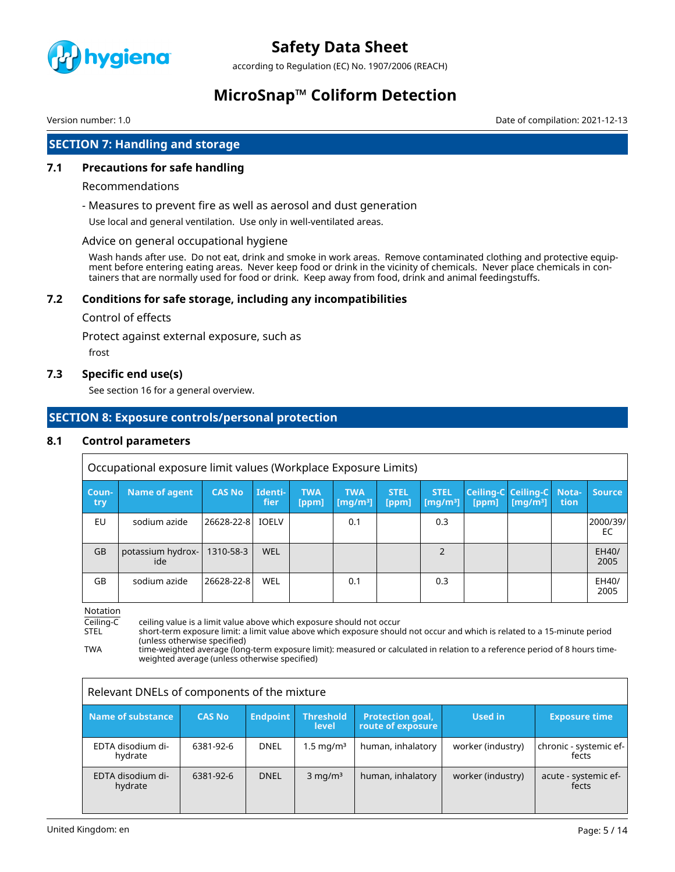

according to Regulation (EC) No. 1907/2006 (REACH)

### **MicroSnap™ Coliform Detection**

Version number: 1.0 Date of compilation: 2021-12-13

### **SECTION 7: Handling and storage**

#### **7.1 Precautions for safe handling**

#### Recommendations

- Measures to prevent fire as well as aerosol and dust generation

Use local and general ventilation. Use only in well-ventilated areas.

#### Advice on general occupational hygiene

Wash hands after use. Do not eat, drink and smoke in work areas. Remove contaminated clothing and protective equipment before entering eating areas. Never keep food or drink in the vicinity of chemicals. Never place chemicals in containers that are normally used for food or drink. Keep away from food, drink and animal feedingstuffs.

#### **7.2 Conditions for safe storage, including any incompatibilities**

#### Control of effects

Protect against external exposure, such as

frost

#### **7.3 Specific end use(s)**

See section 16 for a general overview.

#### **SECTION 8: Exposure controls/personal protection**

#### **8.1 Control parameters**

|              | Occupational exposure limit values (Workplace Exposure Limits) |                  |                 |                     |                                                  |                      |                                             |       |                                                   |      |                |
|--------------|----------------------------------------------------------------|------------------|-----------------|---------------------|--------------------------------------------------|----------------------|---------------------------------------------|-------|---------------------------------------------------|------|----------------|
| Coun-<br>try | Name of agent                                                  | <b>CAS No</b>    | Identi-<br>fier | <b>TWA</b><br>[ppm] | <b>TWA</b><br>$\lfloor$ [mq/m $^{3}$ ] $\rfloor$ | <b>STEL</b><br>[ppm] | <b>STEL</b><br>$\left[\text{mq/m}^3\right]$ | [ppm] | Ceiling-C Ceiling-C Nota-<br>[mq/m <sup>3</sup> ] | tion | <b>Source</b>  |
| EU           | sodium azide                                                   | 26628-22-8 IOELV |                 |                     | 0.1                                              |                      | 0.3                                         |       |                                                   |      | 2000/39/<br>EC |
| <b>GB</b>    | potassium hydrox-<br>ide                                       | 1310-58-3        | <b>WEL</b>      |                     |                                                  |                      | $\mathcal{P}$                               |       |                                                   |      | EH40/<br>2005  |
| GB           | sodium azide                                                   | 26628-22-8       | <b>WEL</b>      |                     | 0.1                                              |                      | 0.3                                         |       |                                                   |      | EH40/<br>2005  |

Notation

Ceiling-C ceiling value is a limit value above which exposure should not occur<br>STEL short-term exposure limit: a limit value above which exposure shoul

STEL short-term exposure limit: a limit value above which exposure should not occur and which is related to a 15-minute period (unless otherwise specified)

TWA time-weighted average (long-term exposure limit): measured or calculated in relation to a reference period of 8 hours timeweighted average (unless otherwise specified)

| Relevant DNELs of components of the mixture |               |                 |                           |                                              |                   |                                 |  |
|---------------------------------------------|---------------|-----------------|---------------------------|----------------------------------------------|-------------------|---------------------------------|--|
| Name of substance                           | <b>CAS No</b> | <b>Endpoint</b> | <b>Threshold</b><br>level | <b>Protection goal,</b><br>route of exposure | Used in           | <b>Exposure time</b>            |  |
| EDTA disodium di-<br>hydrate                | 6381-92-6     | <b>DNEL</b>     | $1.5 \,\mathrm{mg/m^3}$   | human, inhalatory                            | worker (industry) | chronic - systemic ef-<br>fects |  |
| EDTA disodium di-<br>hydrate                | 6381-92-6     | <b>DNEL</b>     | $3$ mg/m <sup>3</sup>     | human, inhalatory                            | worker (industry) | acute - systemic ef-<br>fects   |  |

٦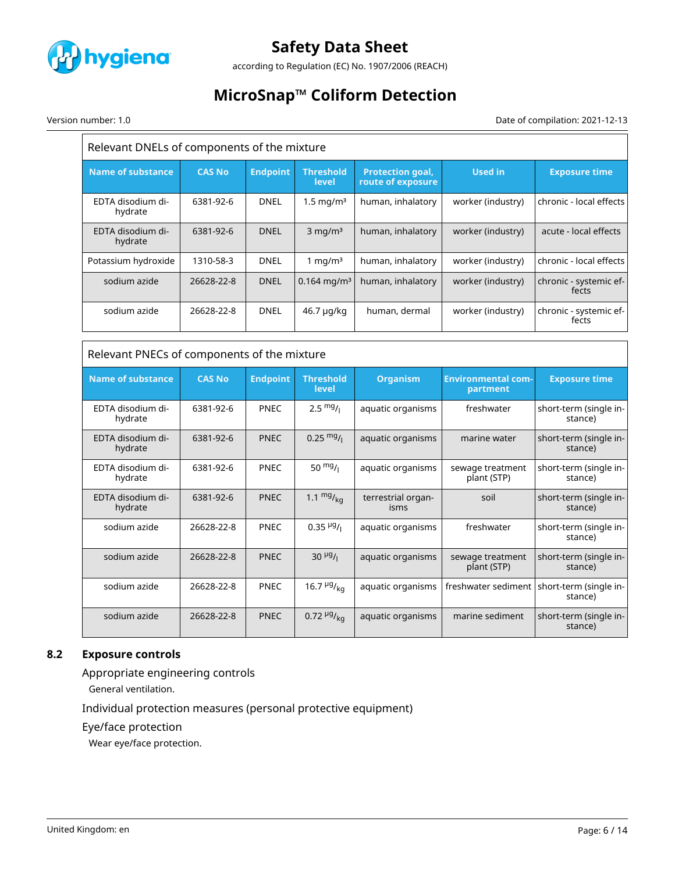

according to Regulation (EC) No. 1907/2006 (REACH)

# **MicroSnap™ Coliform Detection**

Version number: 1.0 Date of compilation: 2021-12-13

| Relevant DNELs of components of the mixture |               |                 |                               |                                              |                                       |                                                             |
|---------------------------------------------|---------------|-----------------|-------------------------------|----------------------------------------------|---------------------------------------|-------------------------------------------------------------|
| <b>Name of substance</b>                    | <b>CAS No</b> | <b>Endpoint</b> | <b>Threshold</b><br>level     | <b>Protection goal,</b><br>route of exposure | <b>Used in</b>                        | <b>Exposure time</b>                                        |
| EDTA disodium di-<br>hydrate                | 6381-92-6     | DNEL            | $1.5 \text{ mg/m}^3$          | human, inhalatory                            | worker (industry)                     | chronic - local effects                                     |
| EDTA disodium di-<br>hydrate                | 6381-92-6     | <b>DNEL</b>     | $3$ mg/m <sup>3</sup>         | human, inhalatory                            | worker (industry)                     | acute - local effects                                       |
| Potassium hydroxide                         | 1310-58-3     | <b>DNEL</b>     | 1 mg/ $m3$                    | human, inhalatory                            | worker (industry)                     | chronic - local effects                                     |
| sodium azide                                | 26628-22-8    | <b>DNEL</b>     | $0.164$ mg/m <sup>3</sup>     | human, inhalatory                            | worker (industry)                     | chronic - systemic ef-<br>fects                             |
| sodium azide                                | 26628-22-8    | <b>DNEL</b>     | 46.7 µg/kg                    | human, dermal                                | worker (industry)                     | chronic - systemic ef-<br>fects                             |
|                                             |               |                 |                               |                                              |                                       |                                                             |
| Relevant PNECs of components of the mixture |               |                 |                               |                                              |                                       |                                                             |
|                                             |               |                 |                               |                                              |                                       |                                                             |
| <b>Name of substance</b>                    | <b>CAS No</b> | <b>Endpoint</b> | <b>Threshold</b><br>level     | <b>Organism</b>                              | <b>Environmental com-</b><br>partment | <b>Exposure time</b>                                        |
| EDTA disodium di-<br>hydrate                | 6381-92-6     | <b>PNEC</b>     | $2.5 \frac{mg}{l}$            | aquatic organisms                            | freshwater                            | short-term (single in-<br>stance)                           |
| EDTA disodium di-<br>hydrate                | 6381-92-6     | <b>PNEC</b>     | $0.25 \frac{mg}{l}$           | aquatic organisms                            | marine water                          | short-term (single in-<br>stance)                           |
| EDTA disodium di-<br>hydrate                | 6381-92-6     | <b>PNEC</b>     | 50 $mg/1$                     | aquatic organisms                            | sewage treatment<br>plant (STP)       | short-term (single in-<br>stance)                           |
| EDTA disodium di-<br>hydrate                | 6381-92-6     | <b>PNEC</b>     | 1.1 $mg/_{kq}$                | terrestrial organ-<br>isms                   | soil                                  | short-term (single in-<br>stance)                           |
| sodium azide                                | 26628-22-8    | <b>PNEC</b>     | $0.35 \frac{\mu g}{I}$        | aquatic organisms                            | freshwater                            | stance)                                                     |
| sodium azide                                | 26628-22-8    | <b>PNEC</b>     | $30 \frac{\mu g}{I}$          | aquatic organisms                            | sewage treatment<br>plant (STP)       | short-term (single in-<br>short-term (single in-<br>stance) |
| sodium azide                                | 26628-22-8    | PNEC            | 16.7 $\frac{\mu g}{\kappa q}$ | aquatic organisms                            | freshwater sediment                   | short-term (single in-<br>stance)                           |

### **8.2 Exposure controls**

Appropriate engineering controls

General ventilation.

Individual protection measures (personal protective equipment)

Eye/face protection

Wear eye/face protection.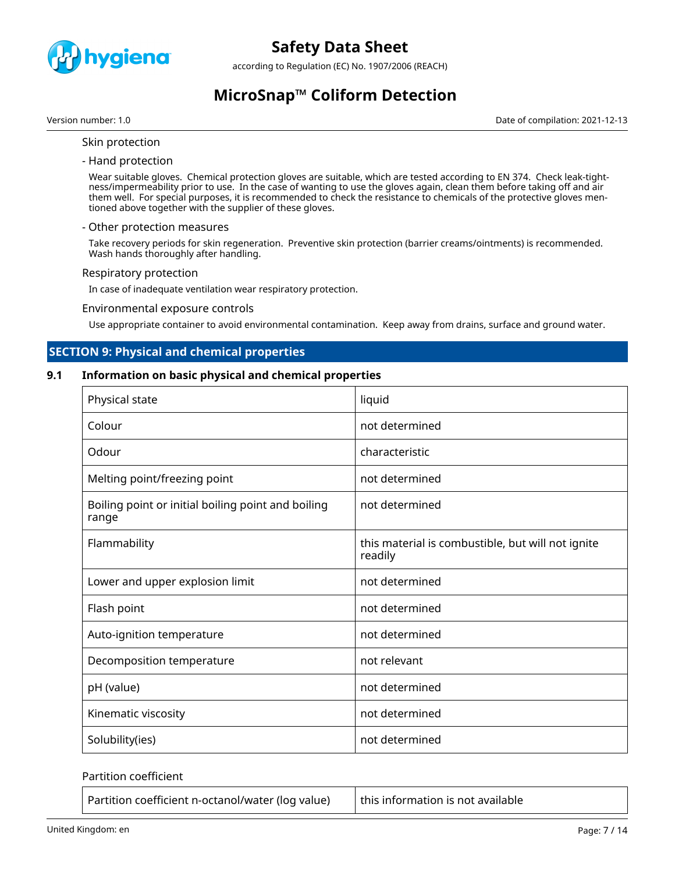

according to Regulation (EC) No. 1907/2006 (REACH)

# **MicroSnap™ Coliform Detection**

Version number: 1.0 Date of compilation: 2021-12-13

- Skin protection
- Hand protection

Wear suitable gloves. Chemical protection gloves are suitable, which are tested according to EN 374. Check leak-tightness/impermeability prior to use. In the case of wanting to use the gloves again, clean them before taking off and air them well. For special purposes, it is recommended to check the resistance to chemicals of the protective gloves mentioned above together with the supplier of these gloves.

#### - Other protection measures

Take recovery periods for skin regeneration. Preventive skin protection (barrier creams/ointments) is recommended. Wash hands thoroughly after handling.

#### Respiratory protection

In case of inadequate ventilation wear respiratory protection.

#### Environmental exposure controls

Use appropriate container to avoid environmental contamination. Keep away from drains, surface and ground water.

#### **SECTION 9: Physical and chemical properties**

#### **9.1 Information on basic physical and chemical properties**

| Physical state                                              | liquid                                                       |
|-------------------------------------------------------------|--------------------------------------------------------------|
| Colour                                                      | not determined                                               |
| Odour                                                       | characteristic                                               |
| Melting point/freezing point                                | not determined                                               |
| Boiling point or initial boiling point and boiling<br>range | not determined                                               |
| Flammability                                                | this material is combustible, but will not ignite<br>readily |
| Lower and upper explosion limit                             | not determined                                               |
| Flash point                                                 | not determined                                               |
| Auto-ignition temperature                                   | not determined                                               |
| Decomposition temperature                                   | not relevant                                                 |
| pH (value)                                                  | not determined                                               |
| Kinematic viscosity                                         | not determined                                               |
| Solubility(ies)                                             | not determined                                               |

#### Partition coefficient

Partition coefficient n-octanol/water (log value)  $\vert$  this information is not available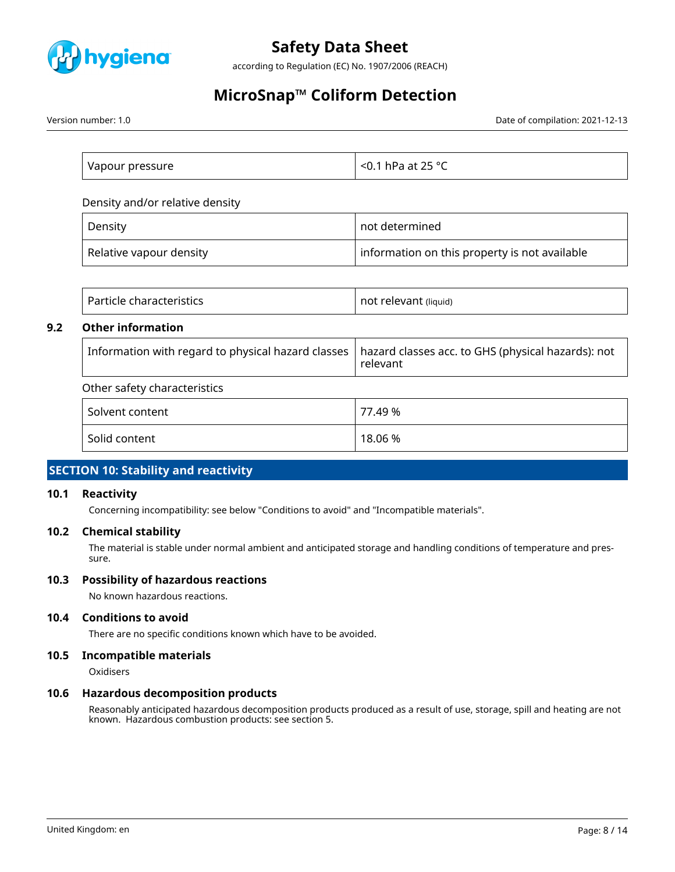

according to Regulation (EC) No. 1907/2006 (REACH)

# **MicroSnap™ Coliform Detection**

Version number: 1.0 Date of compilation: 2021-12-13

| Vapour pressure | $\sim$ <0.1 hPa at 25 °C $\,$ |
|-----------------|-------------------------------|

Density and/or relative density

| Density                 | not determined                                |
|-------------------------|-----------------------------------------------|
| Relative vapour density | information on this property is not available |

|     | Particle characteristics                           | not relevant (liquid)                                          |
|-----|----------------------------------------------------|----------------------------------------------------------------|
| 9.2 | <b>Other information</b>                           |                                                                |
|     | Information with regard to physical hazard classes | hazard classes acc. to GHS (physical hazards): not<br>relevant |
|     | Other safety characteristics                       |                                                                |
|     | Solvent content                                    | 77.49 %                                                        |
|     | Solid content                                      | 18.06 %                                                        |

### **SECTION 10: Stability and reactivity**

#### **10.1 Reactivity**

Concerning incompatibility: see below "Conditions to avoid" and "Incompatible materials".

#### **10.2 Chemical stability**

The material is stable under normal ambient and anticipated storage and handling conditions of temperature and pressure.

#### **10.3 Possibility of hazardous reactions**

No known hazardous reactions.

#### **10.4 Conditions to avoid**

There are no specific conditions known which have to be avoided.

### **10.5 Incompatible materials**

**Oxidisers** 

#### **10.6 Hazardous decomposition products**

Reasonably anticipated hazardous decomposition products produced as a result of use, storage, spill and heating are not known. Hazardous combustion products: see section 5.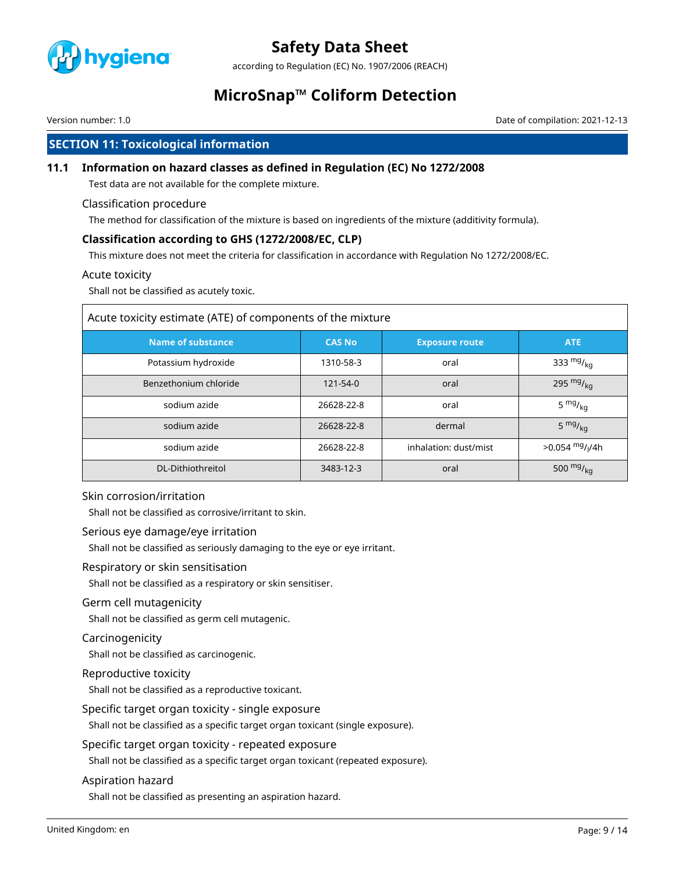

according to Regulation (EC) No. 1907/2006 (REACH)

### **MicroSnap™ Coliform Detection**

Version number: 1.0 Date of compilation: 2021-12-13

### **SECTION 11: Toxicological information**

#### **11.1 Information on hazard classes as defined in Regulation (EC) No 1272/2008**

Test data are not available for the complete mixture.

#### Classification procedure

The method for classification of the mixture is based on ingredients of the mixture (additivity formula).

#### **Classification according to GHS (1272/2008/EC, CLP)**

This mixture does not meet the criteria for classification in accordance with Regulation No 1272/2008/EC.

#### Acute toxicity

Shall not be classified as acutely toxic.

| Acute toxicity estimate (ATE) of components of the mixture |               |                       |                               |  |  |
|------------------------------------------------------------|---------------|-----------------------|-------------------------------|--|--|
| <b>Name of substance</b>                                   | <b>CAS No</b> | <b>Exposure route</b> | <b>ATE</b>                    |  |  |
| Potassium hydroxide                                        | 1310-58-3     | oral                  | 333 $mg/kq$                   |  |  |
| Benzethonium chloride                                      | 121-54-0      | oral                  | 295 $mg/kq$                   |  |  |
| sodium azide                                               | 26628-22-8    | oral                  | 5 $mg/kq$                     |  |  |
| sodium azide                                               | 26628-22-8    | dermal                | $5 \frac{mg}{kg}$             |  |  |
| sodium azide                                               | 26628-22-8    | inhalation: dust/mist | $>0.054$ mg/ <sub>l</sub> /4h |  |  |
| DL-Dithiothreitol                                          | 3483-12-3     | oral                  | 500 $mg/kq$                   |  |  |

#### Skin corrosion/irritation

Shall not be classified as corrosive/irritant to skin.

#### Serious eye damage/eye irritation

Shall not be classified as seriously damaging to the eye or eye irritant.

Respiratory or skin sensitisation

Shall not be classified as a respiratory or skin sensitiser.

#### Germ cell mutagenicity

Shall not be classified as germ cell mutagenic.

#### Carcinogenicity

Shall not be classified as carcinogenic.

#### Reproductive toxicity

Shall not be classified as a reproductive toxicant.

Specific target organ toxicity - single exposure

Shall not be classified as a specific target organ toxicant (single exposure).

Specific target organ toxicity - repeated exposure

Shall not be classified as a specific target organ toxicant (repeated exposure).

#### Aspiration hazard

Shall not be classified as presenting an aspiration hazard.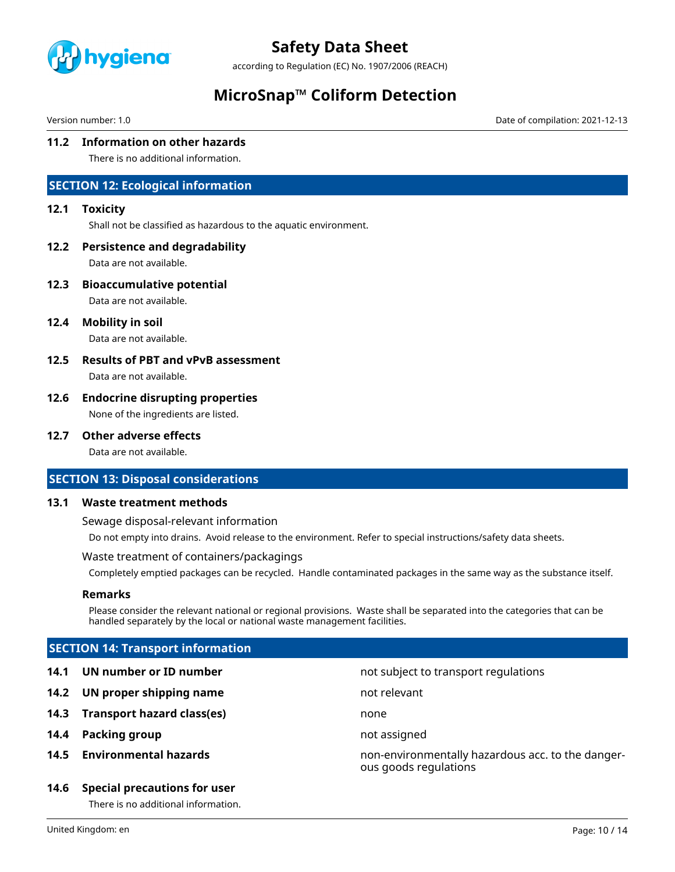

according to Regulation (EC) No. 1907/2006 (REACH)

### **MicroSnap™ Coliform Detection**

Version number: 1.0 Date of compilation: 2021-12-13

#### **11.2 Information on other hazards**

There is no additional information.

### **SECTION 12: Ecological information**

#### **12.1 Toxicity**

Shall not be classified as hazardous to the aquatic environment.

#### **12.2 Persistence and degradability**

Data are not available.

**12.3 Bioaccumulative potential**

Data are not available.

**12.4 Mobility in soil**

Data are not available.

### **12.5 Results of PBT and vPvB assessment**

Data are not available.

### **12.6 Endocrine disrupting properties**

None of the ingredients are listed.

#### **12.7 Other adverse effects**

Data are not available.

#### **SECTION 13: Disposal considerations**

#### **13.1 Waste treatment methods**

Sewage disposal-relevant information

Do not empty into drains. Avoid release to the environment. Refer to special instructions/safety data sheets.

#### Waste treatment of containers/packagings

Completely emptied packages can be recycled. Handle contaminated packages in the same way as the substance itself.

#### **Remarks**

Please consider the relevant national or regional provisions. Waste shall be separated into the categories that can be handled separately by the local or national waste management facilities.

ous goods regulations

### **SECTION 14: Transport information**

- **14.1 UN number or ID number not subject to transport regulations**
- **14.2 UN proper shipping name** not relevant
- **14.3 Transport hazard class(es)** none
- **14.4 Packing group not assigned**
- **14.5 Environmental hazards** non-environmentally hazardous acc. to the danger-

### **14.6 Special precautions for user**

There is no additional information.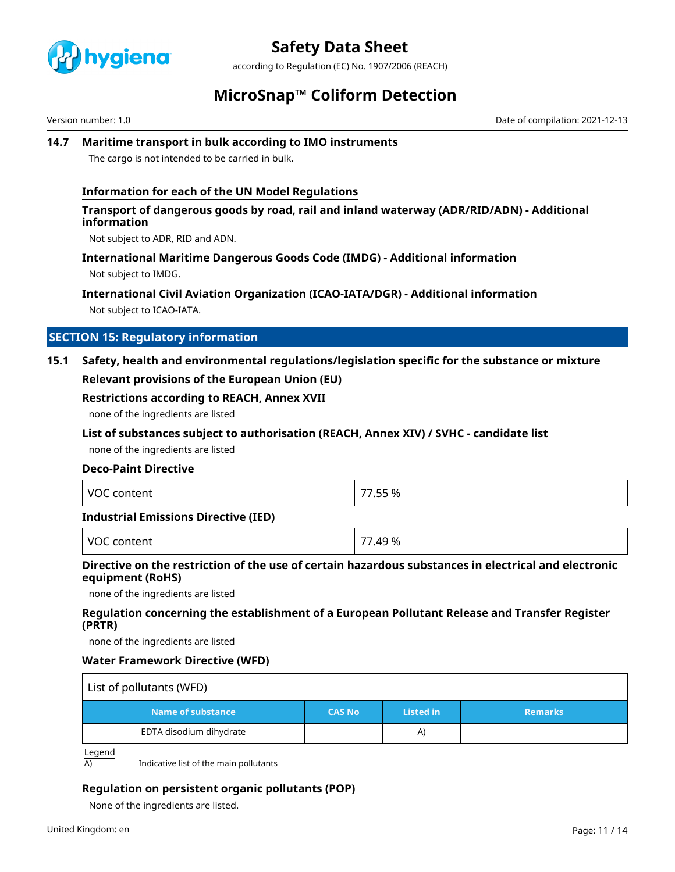

according to Regulation (EC) No. 1907/2006 (REACH)

### **MicroSnap™ Coliform Detection**

Version number: 1.0 Date of compilation: 2021-12-13

#### **14.7 Maritime transport in bulk according to IMO instruments**

The cargo is not intended to be carried in bulk.

#### **Information for each of the UN Model Regulations**

#### **Transport of dangerous goods by road, rail and inland waterway (ADR/RID/ADN) - Additional information**

Not subject to ADR, RID and ADN.

#### **International Maritime Dangerous Goods Code (IMDG) - Additional information**

Not subject to IMDG.

### **International Civil Aviation Organization (ICAO-IATA/DGR) - Additional information**

Not subject to ICAO-IATA.

### **SECTION 15: Regulatory information**

### **15.1 Safety, health and environmental regulations/legislation specific for the substance or mixture Relevant provisions of the European Union (EU)**

#### **Restrictions according to REACH, Annex XVII**

none of the ingredients are listed

#### **List of substances subject to authorisation (REACH, Annex XIV) / SVHC - candidate list**

none of the ingredients are listed

#### **Deco-Paint Directive**

| <b>VOC</b><br>content | 77.55 % |
|-----------------------|---------|
|-----------------------|---------|

#### **Industrial Emissions Directive (IED)**

| VOC<br>$\overline{\phantom{a}}$<br><u>ላ9 %</u><br>. |  |
|-----------------------------------------------------|--|
|-----------------------------------------------------|--|

### **Directive on the restriction of the use of certain hazardous substances in electrical and electronic equipment (RoHS)**

none of the ingredients are listed

#### **Regulation concerning the establishment of a European Pollutant Release and Transfer Register (PRTR)**

none of the ingredients are listed

#### **Water Framework Directive (WFD)**

| List of pollutants (WFD) |               |                  |                |  |
|--------------------------|---------------|------------------|----------------|--|
| Name of substance        | <b>CAS No</b> | <b>Listed in</b> | <b>Remarks</b> |  |
| EDTA disodium dihydrate  |               | A)               |                |  |

Legend

 $\overline{A}$  Indicative list of the main pollutants

### **Regulation on persistent organic pollutants (POP)**

None of the ingredients are listed.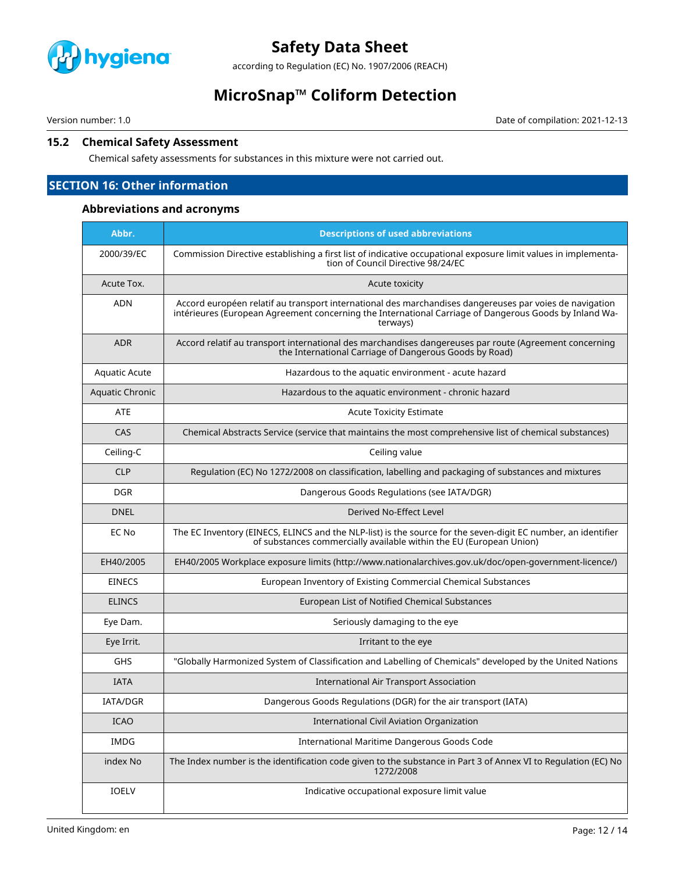

according to Regulation (EC) No. 1907/2006 (REACH)

### **MicroSnap™ Coliform Detection**

Version number: 1.0 Date of compilation: 2021-12-13

#### **15.2 Chemical Safety Assessment**

Chemical safety assessments for substances in this mixture were not carried out.

### **SECTION 16: Other information**

#### **Abbreviations and acronyms**

| Abbr.           | <b>Descriptions of used abbreviations</b>                                                                                                                                                                                     |
|-----------------|-------------------------------------------------------------------------------------------------------------------------------------------------------------------------------------------------------------------------------|
| 2000/39/EC      | Commission Directive establishing a first list of indicative occupational exposure limit values in implementa-<br>tion of Council Directive 98/24/EC                                                                          |
| Acute Tox.      | Acute toxicity                                                                                                                                                                                                                |
| <b>ADN</b>      | Accord européen relatif au transport international des marchandises dangereuses par voies de navigation<br>intérieures (European Agreement concerning the International Carriage of Dangerous Goods by Inland Wa-<br>terways) |
| <b>ADR</b>      | Accord relatif au transport international des marchandises dangereuses par route (Agreement concerning<br>the International Carriage of Dangerous Goods by Road)                                                              |
| Aquatic Acute   | Hazardous to the aquatic environment - acute hazard                                                                                                                                                                           |
| Aquatic Chronic | Hazardous to the aquatic environment - chronic hazard                                                                                                                                                                         |
| <b>ATE</b>      | <b>Acute Toxicity Estimate</b>                                                                                                                                                                                                |
| CAS             | Chemical Abstracts Service (service that maintains the most comprehensive list of chemical substances)                                                                                                                        |
| Ceiling-C       | Ceiling value                                                                                                                                                                                                                 |
| <b>CLP</b>      | Regulation (EC) No 1272/2008 on classification, labelling and packaging of substances and mixtures                                                                                                                            |
| <b>DGR</b>      | Dangerous Goods Regulations (see IATA/DGR)                                                                                                                                                                                    |
| <b>DNEL</b>     | Derived No-Effect Level                                                                                                                                                                                                       |
| EC No           | The EC Inventory (EINECS, ELINCS and the NLP-list) is the source for the seven-digit EC number, an identifier<br>of substances commercially available within the EU (European Union)                                          |
| EH40/2005       | EH40/2005 Workplace exposure limits (http://www.nationalarchives.gov.uk/doc/open-government-licence/)                                                                                                                         |
| <b>EINECS</b>   | European Inventory of Existing Commercial Chemical Substances                                                                                                                                                                 |
| <b>ELINCS</b>   | European List of Notified Chemical Substances                                                                                                                                                                                 |
| Eye Dam.        | Seriously damaging to the eye                                                                                                                                                                                                 |
| Eye Irrit.      | Irritant to the eye                                                                                                                                                                                                           |
| <b>GHS</b>      | "Globally Harmonized System of Classification and Labelling of Chemicals" developed by the United Nations                                                                                                                     |
| <b>IATA</b>     | <b>International Air Transport Association</b>                                                                                                                                                                                |
| IATA/DGR        | Dangerous Goods Regulations (DGR) for the air transport (IATA)                                                                                                                                                                |
| <b>ICAO</b>     | <b>International Civil Aviation Organization</b>                                                                                                                                                                              |
| IMDG            | International Maritime Dangerous Goods Code                                                                                                                                                                                   |
| index No        | The Index number is the identification code given to the substance in Part 3 of Annex VI to Regulation (EC) No<br>1272/2008                                                                                                   |
| IOELV           | Indicative occupational exposure limit value                                                                                                                                                                                  |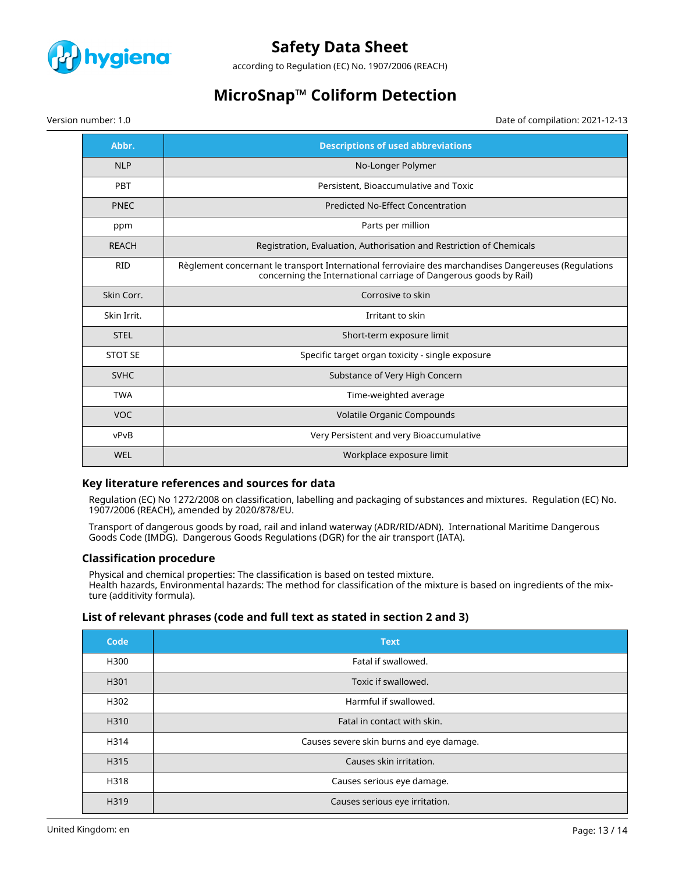

according to Regulation (EC) No. 1907/2006 (REACH)

## **MicroSnap™ Coliform Detection**

Version number: 1.0 Date of compilation: 2021-12-13

| Abbr.          | <b>Descriptions of used abbreviations</b>                                                                                                                                  |
|----------------|----------------------------------------------------------------------------------------------------------------------------------------------------------------------------|
| <b>NLP</b>     | No-Longer Polymer                                                                                                                                                          |
| <b>PBT</b>     | Persistent, Bioaccumulative and Toxic                                                                                                                                      |
| <b>PNEC</b>    | <b>Predicted No-Effect Concentration</b>                                                                                                                                   |
| ppm            | Parts per million                                                                                                                                                          |
| <b>REACH</b>   | Registration, Evaluation, Authorisation and Restriction of Chemicals                                                                                                       |
| <b>RID</b>     | Règlement concernant le transport International ferroviaire des marchandises Dangereuses (Regulations<br>concerning the International carriage of Dangerous goods by Rail) |
| Skin Corr.     | Corrosive to skin                                                                                                                                                          |
| Skin Irrit.    | Irritant to skin                                                                                                                                                           |
| <b>STEL</b>    | Short-term exposure limit                                                                                                                                                  |
| <b>STOT SE</b> | Specific target organ toxicity - single exposure                                                                                                                           |
| <b>SVHC</b>    | Substance of Very High Concern                                                                                                                                             |
| <b>TWA</b>     | Time-weighted average                                                                                                                                                      |
| <b>VOC</b>     | Volatile Organic Compounds                                                                                                                                                 |
| vPvB           | Very Persistent and very Bioaccumulative                                                                                                                                   |
| WEL            | Workplace exposure limit                                                                                                                                                   |

#### **Key literature references and sources for data**

Regulation (EC) No 1272/2008 on classification, labelling and packaging of substances and mixtures. Regulation (EC) No. 1907/2006 (REACH), amended by 2020/878/EU.

Transport of dangerous goods by road, rail and inland waterway (ADR/RID/ADN). International Maritime Dangerous Goods Code (IMDG). Dangerous Goods Regulations (DGR) for the air transport (IATA).

#### **Classification procedure**

Physical and chemical properties: The classification is based on tested mixture. Health hazards, Environmental hazards: The method for classification of the mixture is based on ingredients of the mixture (additivity formula).

#### **List of relevant phrases (code and full text as stated in section 2 and 3)**

| Code | <b>Text</b>                              |
|------|------------------------------------------|
| H300 | Fatal if swallowed.                      |
| H301 | Toxic if swallowed.                      |
| H302 | Harmful if swallowed.                    |
| H310 | Fatal in contact with skin.              |
| H314 | Causes severe skin burns and eye damage. |
| H315 | Causes skin irritation.                  |
| H318 | Causes serious eye damage.               |
| H319 | Causes serious eye irritation.           |